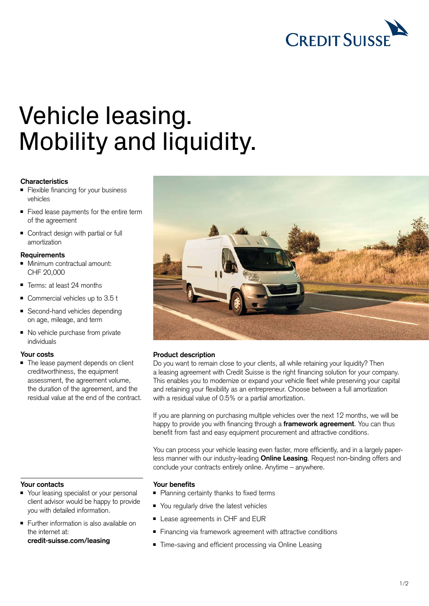

# Vehicle leasing. Mobility and liquidity.

# **Characteristics**

- Flexible financing for your business vehicles
- Fixed lease payments for the entire term of the agreement
- Contract design with partial or full amortization

# **Requirements**

- Minimum contractual amount: CHF 20,000
- Terms: at least 24 months
- Commercial vehicles up to 3.5 t
- Second-hand vehicles depending on age, mileage, and term
- No vehicle purchase from private individuals

#### **Your costs**

■ The lease payment depends on client creditworthiness, the equipment assessment, the agreement volume, the duration of the agreement, and the residual value at the end of the contract.

#### **Your contacts**

- Your leasing specialist or your personal client advisor would be happy to provide you with detailed information.
- Further information is also available on the internet at:

# **[credit-suisse.com/leasing](https://www.credit-suisse.com/ch/en/unternehmen/unternehmen-unternehmer/kmugrossunternehmen/finanzierung/leasing.html)**



# **Product description**

Do you want to remain close to your clients, all while retaining your liquidity? Then a leasing agreement with Credit Suisse is the right financing solution for your company. This enables you to modernize or expand your vehicle fleet while preserving your capital and retaining your flexibility as an entrepreneur. Choose between a full amortization with a residual value of 0.5% or a partial amortization.

If you are planning on purchasing multiple vehicles over the next 12 months, we will be happy to provide you with financing through a **framework agreement**. You can thus benefit from fast and easy equipment procurement and attractive conditions.

You can process your vehicle leasing even faster, more efficiently, and in a largely paperless manner with our industry-leading **Online Leasing**. Request non-binding offers and conclude your contracts entirely online. Anytime – anywhere.

# **Your benefits**

- Planning certainty thanks to fixed terms
- You regularly drive the latest vehicles
- Lease agreements in CHF and EUR
- Financing via framework agreement with attractive conditions
- Time-saving and efficient processing via Online Leasing